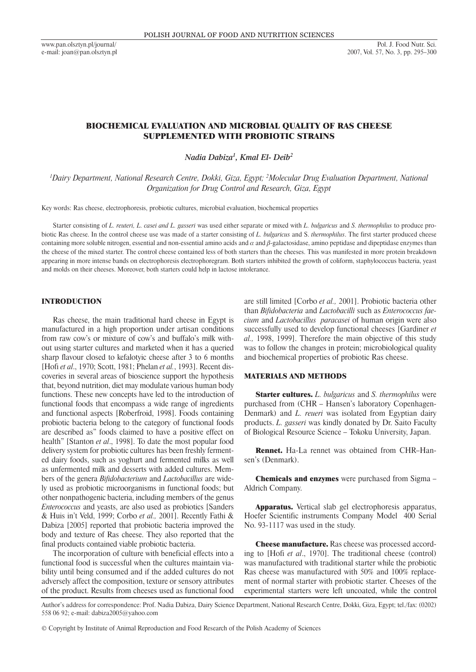www.pan.olsztyn.pl/journal/ e-mail: joan@pan.olsztyn.pl

# BIOCHEMICAL EVALUATION AND MICROBIAL QUALITY OF RAS CHEESE SUPPLEMENTED WITH PROBIOTIC STRAINS

*Nadia Dabiza1 , Kmal El- Deib2*

*1 Dairy Department, National Research Centre, Dokki, Giza, Egypt; 2 Molecular Drug Evaluation Department, National Organization for Drug Control and Research, Giza, Egypt*

Key words: Ras cheese, electrophoresis, probiotic cultures, microbial evaluation, biochemical properties

Starter consisting of *L. reuteri, L. casei and L. gasseri* was used either separate or mixed with *L. bulgaricus* and *S. thermophilus* to produce probiotic Ras cheese. In the control cheese use was made of a starter consisting of *L. bulgaricus* and S. *thermophilus*. The first starter produced cheese containing more soluble nitrogen, essential and non-essential amino acids and  $\alpha$  and  $\beta$ -galactosidase, amino peptidase and dipeptidase enzymes than the cheese of the mixed starter. The control cheese contained less of both starters than the cheeses. This was manifested in more protein breakdown appearing in more intense bands on electrophoresis electrophoregram. Both starters inhibited the growth of coliform, staphylococcus bacteria, yeast and molds on their cheeses. Moreover, both starters could help in lactose intolerance.

# INTRODUCTION

Ras cheese, the main traditional hard cheese in Egypt is manufactured in a high proportion under artisan conditions from raw cow's or mixture of cow's and buffalo's milk without using starter cultures and marketed when it has a queried sharp flavour closed to kefalotyic cheese after 3 to 6 months [Hofi *et al*., 1970; Scott, 1981; Phelan *et al.*, 1993]. Recent discoveries in several areas of bioscience support the hypothesis that, beyond nutrition, diet may modulate various human body functions. These new concepts have led to the introduction of functional foods that encompass a wide range of ingredients and functional aspects [Roberfroid, 1998]. Foods containing probiotic bacteria belong to the category of functional foods are described as" foods claimed to have a positive effect on health" [Stanton *et al*., 1998]. To date the most popular food delivery system for probiotic cultures has been freshly fermented dairy foods, such as yoghurt and fermented milks as well as unfermented milk and desserts with added cultures. Members of the genera *Bifidobacterium* and *Lactobacillus* are widely used as probiotic microorganisms in functional foods; but other nonpathogenic bacteria, including members of the genus *Enterococcus* and yeasts, are also used as probiotics [Sanders & Huis in't Veld, 1999; Corbo *et al.,* 2001]. Recently Fathi & Dabiza [2005] reported that probiotic bacteria improved the body and texture of Ras cheese. They also reported that the final products contained viable probiotic bacteria.

The incorporation of culture with beneficial effects into a functional food is successful when the cultures maintain viability until being consumed and if the added cultures do not adversely affect the composition, texture or sensory attributes of the product. Results from cheeses used as functional food are still limited [Corbo *et al.,* 2001]. Probiotic bacteria other than *Bifidobacteria* and *Lactobacilli* such as *Enterococcus faecium* and *Lactobacillus paracasei* of human origin were also successfully used to develop functional cheeses [Gardiner *et al.,* 1998, 1999]. Therefore the main objective of this study was to follow the changes in protein; microbiological quality and biochemical properties of probiotic Ras cheese.

#### MATERIALS AND METHODS

Starter cultures. *L. bulgaricus* and *S. thermophilus* were purchased from (CHR – Hansen's laboratory Copenhagen-Denmark) and *L. reueri* was isolated from Egyptian dairy products. *L. gasseri* was kindly donated by Dr. Saito Faculty of Biological Resource Science – Tokoku University, Japan.

Rennet. Ha-La rennet was obtained from CHR–Hansen's (Denmark).

Chemicals and enzymes were purchased from Sigma – Aldrich Company.

Apparatus. Vertical slab gel electrophoresis apparatus, Hoefer Scientific instruments Company Model 400 Serial No. 93-1117 was used in the study.

Cheese manufacture. Ras cheese was processed according to [Hofi *et al*., 1970]. The traditional cheese (control) was manufactured with traditional starter while the probiotic Ras cheese was manufactured with 50% and 100% replacement of normal starter with probiotic starter. Cheeses of the experimental starters were left uncoated, while the control

Author's address for correspondence: Prof. Nadia Dabiza, Dairy Science Department, National Research Centre, Dokki, Giza, Egypt; tel./fax: (0202) 558 06 92; e-mail: dabiza2005@yahoo.com

<sup>©</sup> Copyright by Institute of Animal Reproduction and Food Research of the Polish Academy of Sciences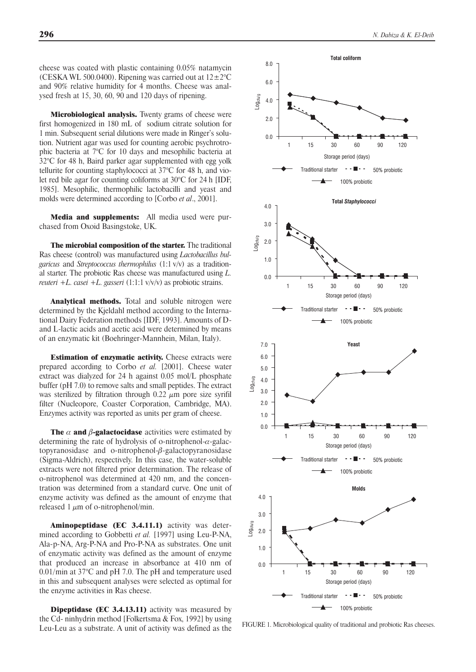cheese was coated with plastic containing 0.05% natamycin (CESKA WL 500.0400). Ripening was carried out at  $12\pm2\degree C$ and 90% relative humidity for 4 months. Cheese was analysed fresh at 15, 30, 60, 90 and 120 days of ripening.

**Microbiological analysis.** Twenty grams of cheese were first homogenized in 180 mL of sodium citrate solution for 1 min. Subsequent serial dilutions were made in Ringer's solution. Nutrient agar was used for counting aerobic psychrotrophic bacteria at 7°C for 10 days and mesophilic bacteria at 32°C for 48 h, Baird parker agar supplemented with egg yolk tellurite for counting staphylococci at 37°C for 48 h, and violet red bile agar for counting coliforms at 30°C for 24 h [IDF, 1985]. Mesophilic, thermophilic lactobacilli and yeast and molds were determined according to [Corbo *et al*., 2001].

Media and supplements: All media used were purchased from Oxoid Basingstoke, UK.

The microbial composition of the starter. The traditional Ras cheese (control) was manufactured using *Lactobacillus bulgaricus* and *Streptococcus thermophilus* (1:1 v/v) as a traditional starter. The probiotic Ras cheese was manufactured using *L. reuteri +L. casei +L. gasseri* (1:1:1 v/v/v) as probiotic strains.

Analytical methods. Total and soluble nitrogen were determined by the Kjeldahl method according to the International Dairy Federation methods [IDF, 1993]. Amounts of Dand L-lactic acids and acetic acid were determined by means of an enzymatic kit (Boehringer-Mannhein, Milan, Italy).

**Estimation of enzymatic activity.** Cheese extracts were prepared according to Corbo *et al.* [2001]. Cheese water extract was dialyzed for 24 h against 0.05 mol/L phosphate buffer (pH 7.0) to remove salts and small peptides. The extract was sterilized by filtration through  $0.22 \mu m$  pore size syrifil filter (Nucleopore, Coaster Corporation, Cambridge, MA). Enzymes activity was reported as units per gram of cheese.

**The**  $\alpha$  **and**  $\beta$ **-galactocidase** activities were estimated by determining the rate of hydrolysis of o-nitrophenol- $\alpha$ -galactopyranosidase and o-nitrophenol- $\beta$ -galactopyranosidase (Sigma-Aldrich), respectively. In this case, the water-soluble extracts were not filtered prior determination. The release of o-nitrophenol was determined at 420 nm, and the concentration was determined from a standard curve. One unit of enzyme activity was defined as the amount of enzyme that released 1  $\mu$ m of o-nitrophenol/min.

Aminopeptidase (EC 3.4.11.1) activity was determined according to Gobbetti *et al.* [1997] using Leu-P-NA, Ala-p-NA, Arg-P-NA and Pro-P-NA as substrates. One unit of enzymatic activity was defined as the amount of enzyme that produced an increase in absorbance at 410 nm of 0.01/min at  $37^{\circ}$ C and pH 7.0. The pH and temperature used in this and subsequent analyses were selected as optimal for the enzyme activities in Ras cheese.

Dipeptidase (EC 3.4.13.11) activity was measured by the Cd- ninhydrin method [Folkertsma & Fox, 1992] by using Leu-Leu as a substrate. A unit of activity was defined as the



FIGURE 1. Microbiological quality of traditional and probiotic Ras cheeses.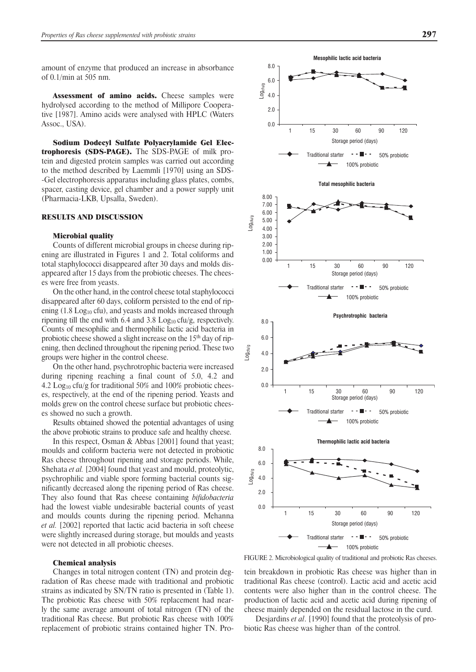amount of enzyme that produced an increase in absorbance of 0.1/min at 505 nm.

Assessment of amino acids. Cheese samples were hydrolysed according to the method of Millipore Cooperative [1987]. Amino acids were analysed with HPLC (Waters Assoc., USA).

Sodium Dodecyl Sulfate Polyacrylamide Gel Electrophoresis (SDS-PAGE). The SDS-PAGE of milk protein and digested protein samples was carried out according to the method described by Laemmli [1970] using an SDS- -Gel electrophoresis apparatus including glass plates, combs, spacer, casting device, gel chamber and a power supply unit (Pharmacia-LKB, Upsalla, Sweden).

### RESULTS AND DISCUSSION

#### Microbial quality

Counts of different microbial groups in cheese during ripening are illustrated in Figures 1 and 2. Total coliforms and total staphylococci disappeared after 30 days and molds disappeared after 15 days from the probiotic cheeses. The cheeses were free from yeasts.

On the other hand, in the control cheese total staphylococci disappeared after 60 days, coliform persisted to the end of ripening  $(1.8 \text{ Log}_{10} \text{cfu})$ , and yeasts and molds increased through ripening till the end with 6.4 and 3.8  $Log_{10}$  cfu/g, respectively. Counts of mesophilic and thermophilic lactic acid bacteria in probiotic cheese showed a slight increase on the 15<sup>th</sup> day of ripening, then declined throughout the ripening period. These two groups were higher in the control cheese.

On the other hand, psychrotrophic bacteria were increased during ripening reaching a final count of 5.0, 4.2 and 4.2  $\text{Log}_{10}$  cfu/g for traditional 50% and 100% probiotic cheeses, respectively, at the end of the ripening period. Yeasts and molds grew on the control cheese surface but probiotic cheeses showed no such a growth.

Results obtained showed the potential advantages of using the above probiotic strains to produce safe and healthy cheese.

In this respect, Osman & Abbas [2001] found that yeast; moulds and coliform bacteria were not detected in probiotic Ras cheese throughout ripening and storage periods. While, Shehata *et al.* [2004] found that yeast and mould, proteolytic, psychrophilic and viable spore forming bacterial counts significantly decreased along the ripening period of Ras cheese. They also found that Ras cheese containing *bifidobacteria*  had the lowest viable undesirable bacterial counts of yeast and moulds counts during the ripening period. Mehanna *et al.* [2002] reported that lactic acid bacteria in soft cheese were slightly increased during storage, but moulds and yeasts were not detected in all probiotic cheeses.

# Chemical analysis

Changes in total nitrogen content (TN) and protein degradation of Ras cheese made with traditional and probiotic strains as indicated by SN/TN ratio is presented in (Table 1). The probiotic Ras cheese with 50% replacement had nearly the same average amount of total nitrogen (TN) of the traditional Ras cheese. But probiotic Ras cheese with 100% replacement of probiotic strains contained higher TN. Pro-



FIGURE 2. Microbiological quality of traditional and probiotic Ras cheeses.

tein breakdown in probiotic Ras cheese was higher than in traditional Ras cheese (control). Lactic acid and acetic acid contents were also higher than in the control cheese. The production of lactic acid and acetic acid during ripening of cheese mainly depended on the residual lactose in the curd.

Desjardins *et al*. [1990] found that the proteolysis of probiotic Ras cheese was higher than of the control.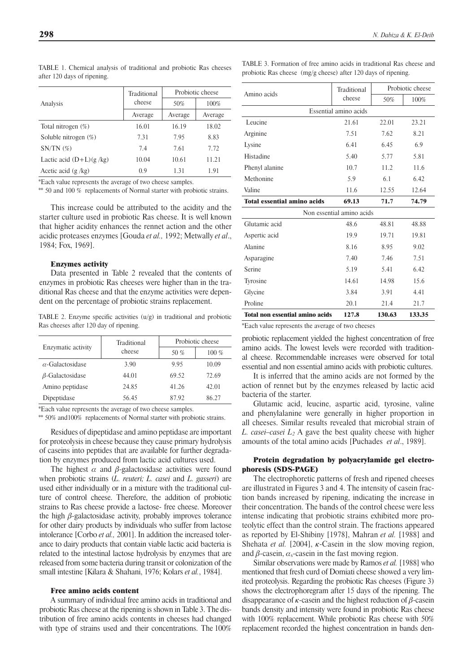| $\mu$ and $\mu$ and $\mu$ and $\mu$ and $\mu$ |                       |                  |         |
|-----------------------------------------------|-----------------------|------------------|---------|
| Analysis                                      | Traditional<br>cheese | Probiotic cheese |         |
|                                               |                       | 50%              | 100%    |
|                                               | Average               | Average          | Average |
| Total nitrogen $(\%)$                         | 16.01                 | 16.19            | 18.02   |
| Soluble nitrogen $(\%)$                       | 7.31                  | 7.95             | 8.83    |
| $SN/TN$ $(\%)$                                | 74                    | 7.61             | 7.72    |

TABLE 1. Chemical analysis of traditional and probiotic Ras cheeses after 120 days of ripening.

\*Each value represents the average of two cheese samples.

\*\* 50 and 100 % replacements of Normal starter with probiotic strains.

Lactic acid (D+L)(g /kg) 10.04 10.61 11.21 Acetic acid (g /kg) 0.9 1.31 1.91

This increase could be attributed to the acidity and the starter culture used in probiotic Ras cheese. It is well known that higher acidity enhances the rennet action and the other acidic proteases enzymes [Gouda *et al.,* 1992; Metwally *et al*., 1984; Fox, 1969].

#### Enzymes activity

Data presented in Table 2 revealed that the contents of enzymes in probiotic Ras cheeses were higher than in the traditional Ras cheese and that the enzyme activities were dependent on the percentage of probiotic strains replacement.

TABLE 2. Enzyme specific activities (u/g) in traditional and probiotic Ras cheeses after 120 day of ripening.

| Enzymatic activity      | Traditional<br>cheese | Probiotic cheese |         |
|-------------------------|-----------------------|------------------|---------|
|                         |                       | 50 %             | $100\%$ |
| $\alpha$ -Galactosidase | 3.90                  | 995              | 10.09   |
| $\beta$ -Galactosidase  | 44.01                 | 69.52            | 72.69   |
| Amino peptidase         | 24.85                 | 41.26            | 42.01   |
| Dipeptidase             | 56.45                 | 8792             | 86 27   |

\*Each value represents the average of two cheese samples.

\*\* 50% and100% replacements of Normal starter with probiotic strains.

Residues of dipeptidase and amino peptidase are important for proteolysis in cheese because they cause primary hydrolysis of caseins into peptides that are available for further degradation by enzymes produced from lactic acid cultures used.

The highest  $\alpha$  and  $\beta$ -galactosidase activities were found when probiotic strains (*L. reuteri; L. casei* and *L. gasseri*) are used either individually or in a mixture with the traditional culture of control cheese. Therefore, the addition of probiotic strains to Ras cheese provide a lactose- free cheese. Moreover the high  $\beta$ -galactosidase activity, probably improves tolerance for other dairy products by individuals who suffer from lactose intolerance [Corbo *et al.,* 2001]. In addition the increased tolerance to dairy products that contain viable lactic acid bacteria is related to the intestinal lactose hydrolysis by enzymes that are released from some bacteria during transit or colonization of the small intestine [Kilara & Shahani, 1976; Kolars *et al.*, 1984].

### Free amino acids content

A summary of individual free amino acids in traditional and probiotic Ras cheese at the ripening is shown in Table 3. The distribution of free amino acids contents in cheeses had changed with type of strains used and their concentrations. The  $100\%$  TABLE 3. Formation of free amino acids in traditional Ras cheese and probiotic Ras cheese (mg/g cheese) after 120 days of ripening.

| Amino acids                            | Traditional<br>cheese | Probiotic cheese |        |  |  |  |
|----------------------------------------|-----------------------|------------------|--------|--|--|--|
|                                        |                       | 50%              | 100%   |  |  |  |
| Essential amino acids                  |                       |                  |        |  |  |  |
| Leucine                                | 21.61                 | 22.01            | 23.21  |  |  |  |
| Arginine                               | 7.51                  | 7.62             | 8.21   |  |  |  |
| Lysine                                 | 6.41                  | 6.45             | 6.9    |  |  |  |
| Histadine                              | 5.40                  | 5.77             | 5.81   |  |  |  |
| Phenyl alanine                         | 10.7                  | 11.2             | 11.6   |  |  |  |
| Methonine                              | 5.9                   | 6.1              | 6.42   |  |  |  |
| Valine                                 | 11.6                  | 12.55            | 12.64  |  |  |  |
| <b>Total essential amino acids</b>     | 69.13                 | 71.7             | 74.79  |  |  |  |
| Non essential amino acids              |                       |                  |        |  |  |  |
| Glutamic acid                          | 48.6                  | 48.81            | 48.88  |  |  |  |
| Aspertic acid                          | 19.9                  | 19.71            | 19.81  |  |  |  |
| <b>Alanine</b>                         | 8.16                  | 8.95             | 9.02   |  |  |  |
| Asparagine                             | 7.40                  | 7.46             | 7.51   |  |  |  |
| Serine                                 | 5.19                  | 5.41             | 6.42   |  |  |  |
| Tyrosine                               | 14.61                 | 14.98            | 15.6   |  |  |  |
| Glycine                                | 3.84                  | 3.91             | 4.41   |  |  |  |
| Proline                                | 20.1                  | 21.4             | 21.7   |  |  |  |
| <b>Total non essential amino acids</b> | 127.8                 | 130.63           | 133.35 |  |  |  |

\*Each value represents the average of two cheeses

probiotic replacement yielded the highest concentration of free amino acids. The lowest levels were recorded with traditional cheese. Recommendable increases were observed for total essential and non essential amino acids with probiotic cultures.

It is inferred that the amino acids are not formed by the action of rennet but by the enzymes released by lactic acid bacteria of the starter.

Glutamic acid, leucine, aspartic acid, tyrosine, valine and phenylalanine were generally in higher proportion in all cheeses. Similar results revealed that microbial strain of *L. casei–casei L<sub>2</sub>* A gave the best quality cheese with higher amounts of the total amino acids [Puchades *et al*., 1989].

# Protein degradation by polyacrylamide gel electrophoresis (SDS-PAGE)

The electrophoretic patterns of fresh and ripened cheeses are illustrated in Figures 3 and 4. The intensity of casein fraction bands increased by ripening, indicating the increase in their concentration. The bands of the control cheese were less intense indicating that probiotic strains exhibited more proteolytic effect than the control strain. The fractions appeared as reported by El-Shibiny [1978], Mahran *et al.* [1988] and Shehata *et al.* [2004],  $\kappa$ -Casein in the slow moving region, and  $\beta$ -casein,  $\alpha_s$ -casein in the fast moving region.

Similar observations were made by Ramos *et al.* [1988] who mentioned that fresh curd of Domiati cheese showed a very limited proteolysis. Regarding the probiotic Ras cheeses (Figure 3) shows the electrophoregram after 15 days of the ripening. The disappearance of  $\kappa$ -casein and the highest reduction of  $\beta$ -casein bands density and intensity were found in probiotic Ras cheese with 100% replacement. While probiotic Ras cheese with 50% replacement recorded the highest concentration in bands den-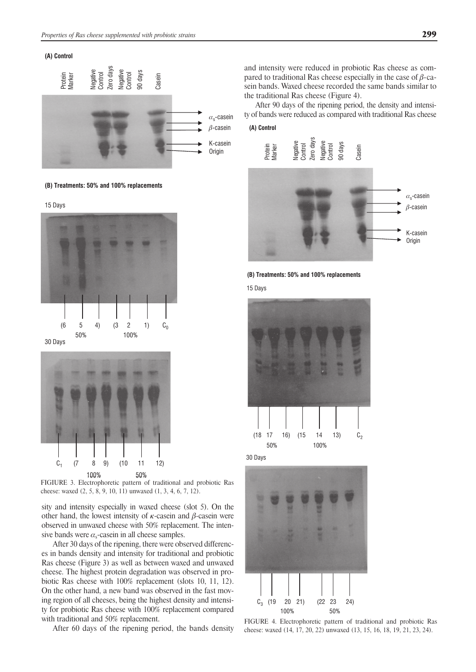

**(B) Treatments: 50% and 100% replacements**







FIGIURE 3. Electrophoretic pattern of traditional and probiotic Ras cheese: waxed (2, 5, 8, 9, 10, 11) unwaxed (1, 3, 4, 6, 7, 12).

sity and intensity especially in waxed cheese (slot 5). On the other hand, the lowest intensity of  $\kappa$ -casein and  $\beta$ -casein were observed in unwaxed cheese with 50% replacement. The intensive bands were  $\alpha_s$ -casein in all cheese samples.

After 30 days of the ripening, there were observed differences in bands density and intensity for traditional and probiotic Ras cheese (Figure 3) as well as between waxed and unwaxed cheese. The highest protein degradation was observed in probiotic Ras cheese with 100% replacement (slots 10, 11, 12). On the other hand, a new band was observed in the fast moving region of all cheeses, being the highest density and intensity for probiotic Ras cheese with 100% replacement compared with traditional and 50% replacement.

After 60 days of the ripening period, the bands density

and intensity were reduced in probiotic Ras cheese as compared to traditional Ras cheese especially in the case of  $\beta$ -casein bands. Waxed cheese recorded the same bands similar to the traditional Ras cheese (Figure 4).

After 90 days of the ripening period, the density and intensity of bands were reduced as compared with traditional Ras cheese

# **(A) Control**





15 Days



30 Days



FIGURE 4. Electrophoretic pattern of traditional and probiotic Ras cheese: waxed (14, 17, 20, 22) unwaxed (13, 15, 16, 18, 19, 21, 23, 24).